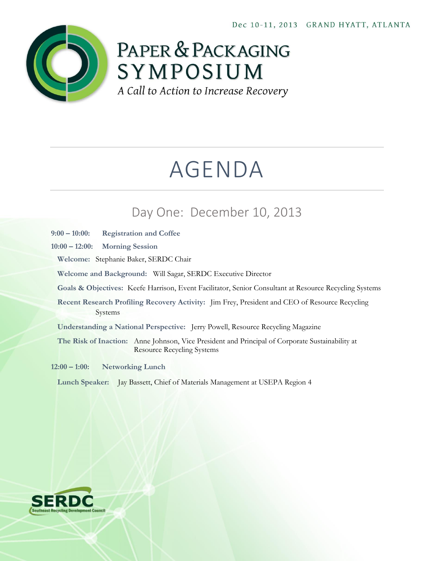Dec 10-11, 2013 GRAND HYATT, ATLANTA



## PAPER & PACKAGING SYMPOSIUM

A Call to Action to Increase Recovery

# AGENDA

### Day One: December 10, 2013

- **9:00 – 10:00: Registration and Coffee**
- **10:00 – 12:00: Morning Session**
- **Welcome:** Stephanie Baker, SERDC Chair
- **Welcome and Background:** Will Sagar, SERDC Executive Director
- **Goals & Objectives:** Keefe Harrison, Event Facilitator, Senior Consultant at Resource Recycling Systems
- **Recent Research Profiling Recovery Activity:** Jim Frey, President and CEO of Resource Recycling Systems

**Understanding a National Perspective:** Jerry Powell, Resource Recycling Magazine

**The Risk of Inaction:** Anne Johnson, Vice President and Principal of Corporate Sustainability at Resource Recycling Systems

**12:00 – 1:00: Networking Lunch**

**Lunch Speaker:** Jay Bassett, Chief of Materials Management at USEPA Region 4

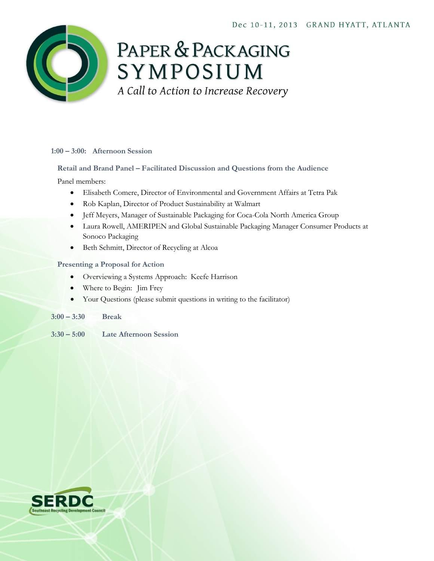

A Call to Action to Increase Recovery

**1:00 – 3:00: Afternoon Session**

#### **Retail and Brand Panel – Facilitated Discussion and Questions from the Audience**

Panel members:

- Elisabeth Comere, Director of Environmental and Government Affairs at Tetra Pak
- Rob Kaplan, Director of Product Sustainability at Walmart
- Jeff Meyers, Manager of Sustainable Packaging for Coca-Cola North America Group
- Laura Rowell, AMERIPEN and Global Sustainable Packaging Manager Consumer Products at Sonoco Packaging
- Beth Schmitt, Director of Recycling at Alcoa

#### **Presenting a Proposal for Action**

- Overviewing a Systems Approach: Keefe Harrison
- Where to Begin: Jim Frey
- Your Questions (please submit questions in writing to the facilitator)

#### **3:00 – 3:30 Break**

**3:30 – 5:00 Late Afternoon Session**

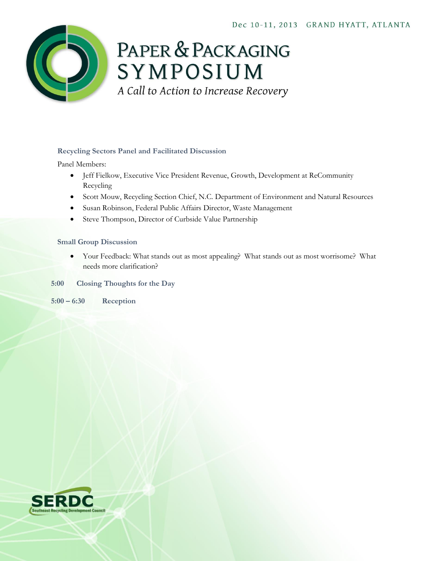

A Call to Action to Increase Recovery

#### **Recycling Sectors Panel and Facilitated Discussion**

Panel Members:

- Jeff Fielkow, Executive Vice President Revenue, Growth, Development at ReCommunity Recycling
- Scott Mouw, Recycling Section Chief, N.C. Department of Environment and Natural Resources
- Susan Robinson, Federal Public Affairs Director, Waste Management
- Steve Thompson, Director of Curbside Value Partnership

#### **Small Group Discussion**

 Your Feedback: What stands out as most appealing? What stands out as most worrisome? What needs more clarification?

#### **5:00 Closing Thoughts for the Day**

**5:00 – 6:30 Reception**

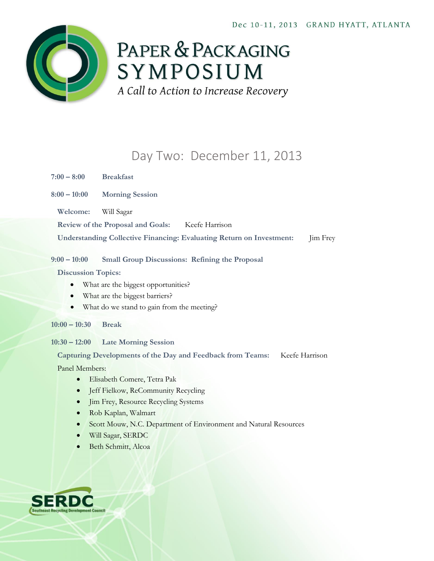

A Call to Action to Increase Recovery

### Day Two: December 11, 2013

**7:00 – 8:00 Breakfast 8:00 – 10:00 Morning Session Welcome:** Will Sagar

Review of the Proposal and Goals: Keefe Harrison

**Understanding Collective Financing: Evaluating Return on Investment:** Jim Frey

**9:00 – 10:00 Small Group Discussions: Refining the Proposal**

**Discussion Topics:**

- What are the biggest opportunities?
- What are the biggest barriers?
- What do we stand to gain from the meeting?

#### **10:00 – 10:30 Break**

#### **10:30 – 12:00 Late Morning Session**

**Capturing Developments of the Day and Feedback from Teams:** Keefe Harrison

Panel Members:

- Elisabeth Comere, Tetra Pak
- **Jeff Fielkow, ReCommunity Recycling**
- Jim Frey, Resource Recycling Systems
- Rob Kaplan, Walmart
- Scott Mouw, N.C. Department of Environment and Natural Resources
- Will Sagar, SERDC
- Beth Schmitt, Alcoa